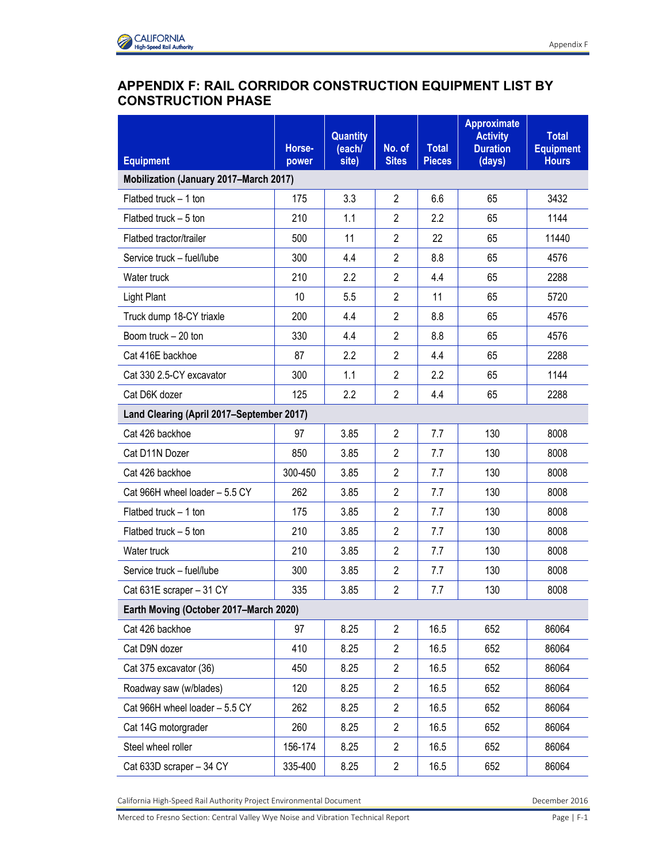## **APPENDIX F: RAIL CORRIDOR CONSTRUCTION EQUIPMENT LIST BY CONSTRUCTION PHASE**

| <b>Equipment</b>                          | Horse-<br>power | <b>Quantity</b><br>(each/<br>site) | No. of<br><b>Sites</b> | <b>Total</b><br><b>Pieces</b> | <b>Approximate</b><br><b>Activity</b><br><b>Duration</b><br>(days) | <b>Total</b><br><b>Equipment</b><br><b>Hours</b> |  |  |
|-------------------------------------------|-----------------|------------------------------------|------------------------|-------------------------------|--------------------------------------------------------------------|--------------------------------------------------|--|--|
| Mobilization (January 2017-March 2017)    |                 |                                    |                        |                               |                                                                    |                                                  |  |  |
| Flatbed truck $-1$ ton                    | 175             | 3.3                                | $\overline{2}$         | 6.6                           | 65                                                                 | 3432                                             |  |  |
| Flatbed truck - 5 ton                     | 210             | 1.1                                | $\overline{2}$         | 2.2                           | 65                                                                 | 1144                                             |  |  |
| Flatbed tractor/trailer                   | 500             | 11                                 | $\overline{2}$         | 22                            | 65                                                                 | 11440                                            |  |  |
| Service truck - fuel/lube                 | 300             | 4.4                                | $\overline{2}$         | 8.8                           | 65                                                                 | 4576                                             |  |  |
| Water truck                               | 210             | 2.2                                | $\overline{2}$         | 4.4                           | 65                                                                 | 2288                                             |  |  |
| Light Plant                               | 10              | 5.5                                | $\overline{2}$         | 11                            | 65                                                                 | 5720                                             |  |  |
| Truck dump 18-CY triaxle                  | 200             | 4.4                                | $\overline{2}$         | 8.8                           | 65                                                                 | 4576                                             |  |  |
| Boom truck - 20 ton                       | 330             | 4.4                                | $\overline{2}$         | 8.8                           | 65                                                                 | 4576                                             |  |  |
| Cat 416E backhoe                          | 87              | 2.2                                | $\overline{2}$         | 4.4                           | 65                                                                 | 2288                                             |  |  |
| Cat 330 2.5-CY excavator                  | 300             | 1.1                                | $\overline{2}$         | 2.2                           | 65                                                                 | 1144                                             |  |  |
| Cat D6K dozer                             | 125             | 2.2                                | $\overline{2}$         | 4.4                           | 65                                                                 | 2288                                             |  |  |
| Land Clearing (April 2017-September 2017) |                 |                                    |                        |                               |                                                                    |                                                  |  |  |
| Cat 426 backhoe                           | 97              | 3.85                               | $\overline{2}$         | 7.7                           | 130                                                                | 8008                                             |  |  |
| Cat D11N Dozer                            | 850             | 3.85                               | $\overline{2}$         | 7.7                           | 130                                                                | 8008                                             |  |  |
| Cat 426 backhoe                           | 300-450         | 3.85                               | $\overline{2}$         | 7.7                           | 130                                                                | 8008                                             |  |  |
| Cat 966H wheel loader - 5.5 CY            | 262             | 3.85                               | $\overline{2}$         | 7.7                           | 130                                                                | 8008                                             |  |  |
| Flatbed truck $-1$ ton                    | 175             | 3.85                               | $\overline{2}$         | 7.7                           | 130                                                                | 8008                                             |  |  |
| Flatbed truck $-5$ ton                    | 210             | 3.85                               | $\overline{2}$         | 7.7                           | 130                                                                | 8008                                             |  |  |
| Water truck                               | 210             | 3.85                               | $\overline{2}$         | 7.7                           | 130                                                                | 8008                                             |  |  |
| Service truck - fuel/lube                 | 300             | 3.85                               | $\overline{2}$         | 7.7                           | 130                                                                | 8008                                             |  |  |
| Cat 631E scraper - 31 CY                  | 335             | 3.85                               | $\overline{2}$         | 7.7                           | 130                                                                | 8008                                             |  |  |
| Earth Moving (October 2017-March 2020)    |                 |                                    |                        |                               |                                                                    |                                                  |  |  |
| Cat 426 backhoe                           | 97              | 8.25                               | $\overline{2}$         | 16.5                          | 652                                                                | 86064                                            |  |  |
| Cat D9N dozer                             | 410             | 8.25                               | $\overline{2}$         | 16.5                          | 652                                                                | 86064                                            |  |  |
| Cat 375 excavator (36)                    | 450             | 8.25                               | $\overline{2}$         | 16.5                          | 652                                                                | 86064                                            |  |  |
| Roadway saw (w/blades)                    | 120             | 8.25                               | $\overline{2}$         | 16.5                          | 652                                                                | 86064                                            |  |  |
| Cat 966H wheel loader - 5.5 CY            | 262             | 8.25                               | $\overline{2}$         | 16.5                          | 652                                                                | 86064                                            |  |  |
| Cat 14G motorgrader                       | 260             | 8.25                               | $\overline{2}$         | 16.5                          | 652                                                                | 86064                                            |  |  |
| Steel wheel roller                        | 156-174         | 8.25                               | $\overline{2}$         | 16.5                          | 652                                                                | 86064                                            |  |  |
| Cat 633D scraper - 34 CY                  | 335-400         | 8.25                               | $\overline{c}$         | 16.5                          | 652                                                                | 86064                                            |  |  |

California High-Speed Rail Authority Project Environmental Document **December 2016** December 2016

Merced to Fresno Section: Central Valley Wye Noise and Vibration Technical Report Page | F-1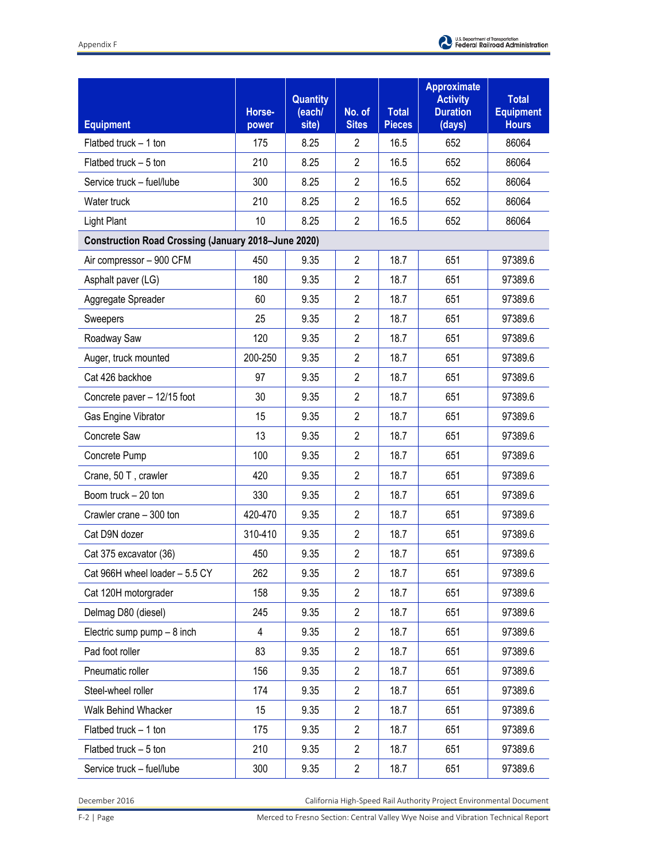| <b>Equipment</b>                                           | Horse-<br>power | Quantity<br>(each/<br>site) | No. of<br><b>Sites</b> | <b>Total</b><br><b>Pieces</b> | <b>Approximate</b><br><b>Activity</b><br><b>Duration</b><br>(days) | <b>Total</b><br><b>Equipment</b><br><b>Hours</b> |  |  |
|------------------------------------------------------------|-----------------|-----------------------------|------------------------|-------------------------------|--------------------------------------------------------------------|--------------------------------------------------|--|--|
| Flatbed truck - 1 ton                                      | 175             | 8.25                        | $\overline{2}$         | 16.5                          | 652                                                                | 86064                                            |  |  |
| Flatbed truck - 5 ton                                      | 210             | 8.25                        | $\overline{2}$         | 16.5                          | 652                                                                | 86064                                            |  |  |
| Service truck - fuel/lube                                  | 300             | 8.25                        | $\overline{2}$         | 16.5                          | 652                                                                | 86064                                            |  |  |
| Water truck                                                | 210             | 8.25                        | $\overline{2}$         | 16.5                          | 652                                                                | 86064                                            |  |  |
| <b>Light Plant</b>                                         | 10              | 8.25                        | $\overline{2}$         | 16.5                          | 652                                                                | 86064                                            |  |  |
| <b>Construction Road Crossing (January 2018-June 2020)</b> |                 |                             |                        |                               |                                                                    |                                                  |  |  |
| Air compressor - 900 CFM                                   | 450             | 9.35                        | $\overline{2}$         | 18.7                          | 651                                                                | 97389.6                                          |  |  |
| Asphalt paver (LG)                                         | 180             | 9.35                        | $\overline{2}$         | 18.7                          | 651                                                                | 97389.6                                          |  |  |
| Aggregate Spreader                                         | 60              | 9.35                        | $\overline{2}$         | 18.7                          | 651                                                                | 97389.6                                          |  |  |
| Sweepers                                                   | 25              | 9.35                        | $\overline{2}$         | 18.7                          | 651                                                                | 97389.6                                          |  |  |
| Roadway Saw                                                | 120             | 9.35                        | $\overline{2}$         | 18.7                          | 651                                                                | 97389.6                                          |  |  |
| Auger, truck mounted                                       | 200-250         | 9.35                        | $\overline{2}$         | 18.7                          | 651                                                                | 97389.6                                          |  |  |
| Cat 426 backhoe                                            | 97              | 9.35                        | $\overline{2}$         | 18.7                          | 651                                                                | 97389.6                                          |  |  |
| Concrete paver - 12/15 foot                                | 30              | 9.35                        | $\overline{2}$         | 18.7                          | 651                                                                | 97389.6                                          |  |  |
| Gas Engine Vibrator                                        | 15              | 9.35                        | $\overline{2}$         | 18.7                          | 651                                                                | 97389.6                                          |  |  |
| Concrete Saw                                               | 13              | 9.35                        | $\overline{2}$         | 18.7                          | 651                                                                | 97389.6                                          |  |  |
| Concrete Pump                                              | 100             | 9.35                        | $\overline{2}$         | 18.7                          | 651                                                                | 97389.6                                          |  |  |
| Crane, 50 T, crawler                                       | 420             | 9.35                        | $\overline{2}$         | 18.7                          | 651                                                                | 97389.6                                          |  |  |
| Boom truck - 20 ton                                        | 330             | 9.35                        | $\overline{2}$         | 18.7                          | 651                                                                | 97389.6                                          |  |  |
| Crawler crane - 300 ton                                    | 420-470         | 9.35                        | $\overline{2}$         | 18.7                          | 651                                                                | 97389.6                                          |  |  |
| Cat D9N dozer                                              | 310-410         | 9.35                        | $\overline{2}$         | 18.7                          | 651                                                                | 97389.6                                          |  |  |
| Cat 375 excavator (36)                                     | 450             | 9.35                        | $\overline{2}$         | 18.7                          | 651                                                                | 97389.6                                          |  |  |
| Cat 966H wheel loader - 5.5 CY                             | 262             | 9.35                        | $\overline{2}$         | 18.7                          | 651                                                                | 97389.6                                          |  |  |
| Cat 120H motorgrader                                       | 158             | 9.35                        | $\mathbf{2}$           | 18.7                          | 651                                                                | 97389.6                                          |  |  |
| Delmag D80 (diesel)                                        | 245             | 9.35                        | $\overline{2}$         | 18.7                          | 651                                                                | 97389.6                                          |  |  |
| Electric sump pump - 8 inch                                | $\overline{4}$  | 9.35                        | $\mathbf{2}$           | 18.7                          | 651                                                                | 97389.6                                          |  |  |
| Pad foot roller                                            | 83              | 9.35                        | $\mathbf{2}$           | 18.7                          | 651                                                                | 97389.6                                          |  |  |
| Pneumatic roller                                           | 156             | 9.35                        | $\mathbf{2}$           | 18.7                          | 651                                                                | 97389.6                                          |  |  |
| Steel-wheel roller                                         | 174             | 9.35                        | $\mathbf{2}$           | 18.7                          | 651                                                                | 97389.6                                          |  |  |
| Walk Behind Whacker                                        | 15              | 9.35                        | $\mathbf{2}$           | 18.7                          | 651                                                                | 97389.6                                          |  |  |
| Flatbed truck - 1 ton                                      | 175             | 9.35                        | $\overline{2}$         | 18.7                          | 651                                                                | 97389.6                                          |  |  |
| Flatbed truck - 5 ton                                      | 210             | 9.35                        | $\mathbf{2}$           | 18.7                          | 651                                                                | 97389.6                                          |  |  |
| Service truck - fuel/lube                                  | 300             | 9.35                        | $\mathbf{2}$           | 18.7                          | 651                                                                | 97389.6                                          |  |  |

December 2016 California High-Speed Rail Authority Project Environmental Document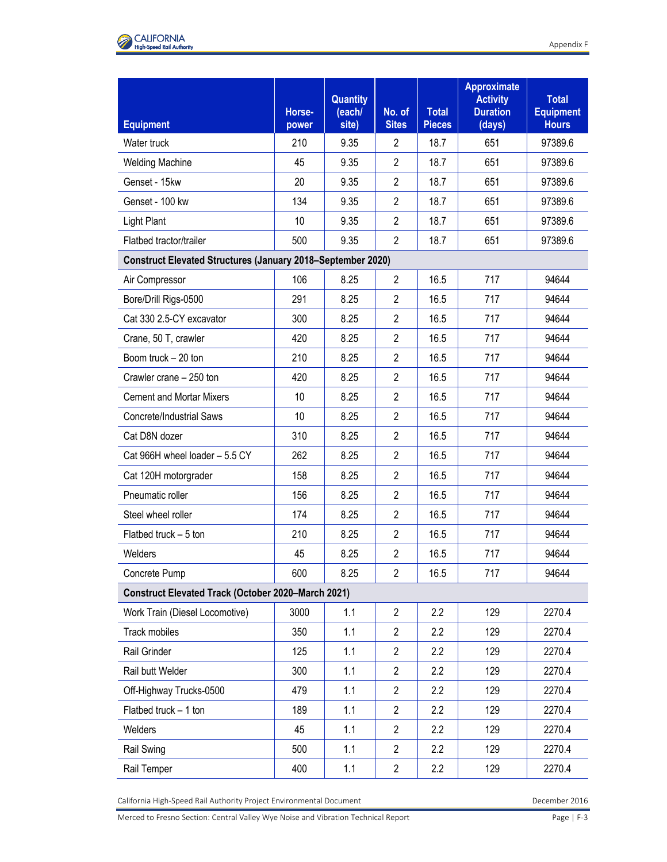

| <b>Equipment</b>                                                   | Horse-<br>power | <b>Quantity</b><br>(each/<br>site) | No. of<br><b>Sites</b> | <b>Total</b><br><b>Pieces</b> | <b>Approximate</b><br><b>Activity</b><br><b>Duration</b><br>(days) | <b>Total</b><br><b>Equipment</b><br><b>Hours</b> |  |  |
|--------------------------------------------------------------------|-----------------|------------------------------------|------------------------|-------------------------------|--------------------------------------------------------------------|--------------------------------------------------|--|--|
| Water truck                                                        | 210             | 9.35                               | $\overline{2}$         | 18.7                          | 651                                                                | 97389.6                                          |  |  |
| <b>Welding Machine</b>                                             | 45              | 9.35                               | $\overline{2}$         | 18.7                          | 651                                                                | 97389.6                                          |  |  |
| Genset - 15kw                                                      | 20              | 9.35                               | $\overline{2}$         | 18.7                          | 651                                                                | 97389.6                                          |  |  |
| Genset - 100 kw                                                    | 134             | 9.35                               | $\overline{2}$         | 18.7                          | 651                                                                | 97389.6                                          |  |  |
| <b>Light Plant</b>                                                 | 10              | 9.35                               | $\overline{2}$         | 18.7                          | 651                                                                | 97389.6                                          |  |  |
| Flatbed tractor/trailer                                            | 500             | 9.35                               | $\overline{2}$         | 18.7                          | 651                                                                | 97389.6                                          |  |  |
| <b>Construct Elevated Structures (January 2018–September 2020)</b> |                 |                                    |                        |                               |                                                                    |                                                  |  |  |
| Air Compressor                                                     | 106             | 8.25                               | $\overline{2}$         | 16.5                          | 717                                                                | 94644                                            |  |  |
| Bore/Drill Rigs-0500                                               | 291             | 8.25                               | $\overline{2}$         | 16.5                          | 717                                                                | 94644                                            |  |  |
| Cat 330 2.5-CY excavator                                           | 300             | 8.25                               | $\overline{2}$         | 16.5                          | 717                                                                | 94644                                            |  |  |
| Crane, 50 T, crawler                                               | 420             | 8.25                               | $\overline{2}$         | 16.5                          | 717                                                                | 94644                                            |  |  |
| Boom truck - 20 ton                                                | 210             | 8.25                               | $\overline{2}$         | 16.5                          | 717                                                                | 94644                                            |  |  |
| Crawler crane - 250 ton                                            | 420             | 8.25                               | $\overline{2}$         | 16.5                          | 717                                                                | 94644                                            |  |  |
| <b>Cement and Mortar Mixers</b>                                    | 10              | 8.25                               | $\overline{2}$         | 16.5                          | 717                                                                | 94644                                            |  |  |
| <b>Concrete/Industrial Saws</b>                                    | 10              | 8.25                               | $\overline{2}$         | 16.5                          | 717                                                                | 94644                                            |  |  |
| Cat D8N dozer                                                      | 310             | 8.25                               | $\overline{2}$         | 16.5                          | 717                                                                | 94644                                            |  |  |
| Cat 966H wheel loader - 5.5 CY                                     | 262             | 8.25                               | $\overline{2}$         | 16.5                          | 717                                                                | 94644                                            |  |  |
| Cat 120H motorgrader                                               | 158             | 8.25                               | $\overline{2}$         | 16.5                          | 717                                                                | 94644                                            |  |  |
| Pneumatic roller                                                   | 156             | 8.25                               | $\overline{2}$         | 16.5                          | 717                                                                | 94644                                            |  |  |
| Steel wheel roller                                                 | 174             | 8.25                               | $\overline{2}$         | 16.5                          | 717                                                                | 94644                                            |  |  |
| Flatbed truck $-5$ ton                                             | 210             | 8.25                               | $\overline{2}$         | 16.5                          | 717                                                                | 94644                                            |  |  |
| Welders                                                            | 45              | 8.25                               | $\overline{2}$         | 16.5                          | 717                                                                | 94644                                            |  |  |
| Concrete Pump                                                      | 600             | 8.25                               | $\overline{2}$         | 16.5                          | 717                                                                | 94644                                            |  |  |
| <b>Construct Elevated Track (October 2020-March 2021)</b>          |                 |                                    |                        |                               |                                                                    |                                                  |  |  |
| Work Train (Diesel Locomotive)                                     | 3000            | 1.1                                | $\overline{2}$         | 2.2                           | 129                                                                | 2270.4                                           |  |  |
| Track mobiles                                                      | 350             | 1.1                                | $\overline{2}$         | 2.2                           | 129                                                                | 2270.4                                           |  |  |
| Rail Grinder                                                       | 125             | 1.1                                | $\overline{2}$         | 2.2                           | 129                                                                | 2270.4                                           |  |  |
| Rail butt Welder                                                   | 300             | 1.1                                | $\overline{2}$         | 2.2                           | 129                                                                | 2270.4                                           |  |  |
| Off-Highway Trucks-0500                                            | 479             | 1.1                                | $\overline{2}$         | 2.2                           | 129                                                                | 2270.4                                           |  |  |
| Flatbed truck - 1 ton                                              | 189             | 1.1                                | $\overline{2}$         | 2.2                           | 129                                                                | 2270.4                                           |  |  |
| Welders                                                            | 45              | 1.1                                | $\overline{2}$         | 2.2                           | 129                                                                | 2270.4                                           |  |  |
| Rail Swing                                                         | 500             | 1.1                                | $\overline{2}$         | 2.2                           | 129                                                                | 2270.4                                           |  |  |
| Rail Temper                                                        | 400             | 1.1                                | $\overline{c}$         | 2.2                           | 129                                                                | 2270.4                                           |  |  |

California High-Speed Rail Authority Project Environmental Document **December 2016** December 2016

Merced to Fresno Section: Central Valley Wye Noise and Vibration Technical Report Page | F-3